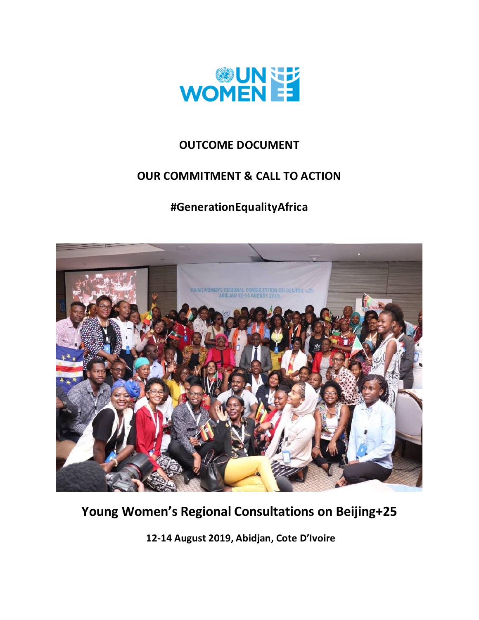

## **OUTCOME DOCUMENT**

## **OUR COMMITMENT & CALL TO ACTION**

# **#GenerationEqualityAfrica**



# **Young Women's Regional Consultations on Beijing+25**

**12-14 August 2019, Abidjan, Cote D'Ivoire**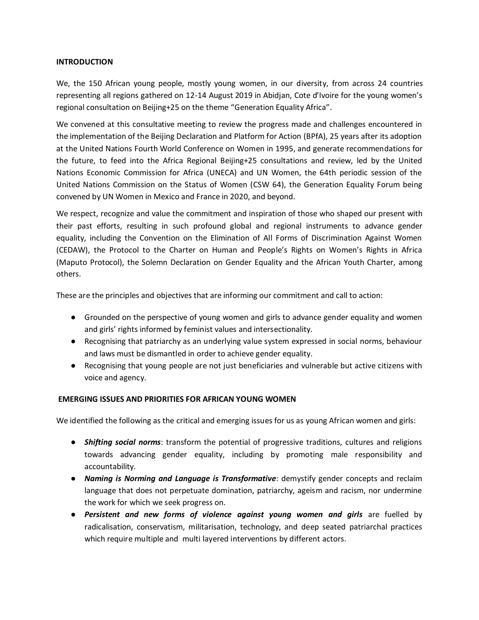#### **INTRODUCTION**

We, the 150 African young people, mostly young women, in our diversity, from across 24 countries representing all regions gathered on 12-14 August 2019 in Abidjan, Cote d'Ivoire for the young women's regional consultation on Beijing+25 on the theme "Generation Equality Africa".

We convened at this consultative meeting to review the progress made and challenges encountered in the implementation of the Beijing Declaration and Platform for Action (BPfA), 25 years after its adoption at the United Nations Fourth World Conference on Women in 1995, and generate recommendations for the future, to feed into the Africa Regional Beijing+25 consultations and review, led by the United Nations Economic Commission for Africa (UNECA) and UN Women, the 64th periodic session of the United Nations Commission on the Status of Women (CSW 64), the Generation Equality Forum being convened by UN Women in Mexico and France in 2020, and beyond.

We respect, recognize and value the commitment and inspiration of those who shaped our present with their past efforts, resulting in such profound global and regional instruments to advance gender equality, including the Convention on the Elimination of All Forms of Discrimination Against Women (CEDAW), the Protocol to the Charter on Human and People's Rights on Women's Rights in Africa (Maputo Protocol), the Solemn Declaration on Gender Equality and the African Youth Charter, among others.

These are the principles and objectives that are informing our commitment and call to action:

- Grounded on the perspective of young women and girls to advance gender equality and women and girls' rights informed by feminist values and intersectionality.
- Recognising that patriarchy as an underlying value system expressed in social norms, behaviour and laws must be dismantled in order to achieve gender equality.
- Recognising that young people are not just beneficiaries and vulnerable but active citizens with voice and agency.

#### **EMERGING ISSUES AND PRIORITIES FOR AFRICAN YOUNG WOMEN**

We identified the following as the critical and emerging issues for us as young African women and girls:

- *Shifting social norms*: transform the potential of progressive traditions, cultures and religions towards advancing gender equality, including by promoting male responsibility and accountability.
- *Naming is Norming and Language is Transformative*: demystify gender concepts and reclaim language that does not perpetuate domination, patriarchy, ageism and racism, nor undermine the work for which we seek progress on.
- *Persistent and new forms of violence against young women and girls* are fuelled by radicalisation, conservatism, militarisation, technology, and deep seated patriarchal practices which require multiple and multi layered interventions by different actors.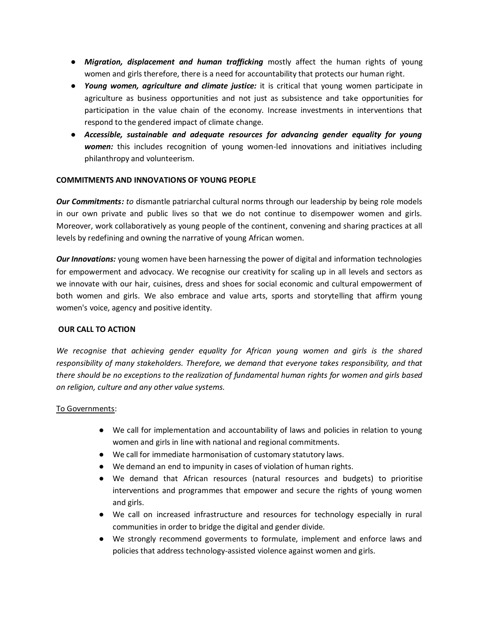- *Migration, displacement and human trafficking* mostly affect the human rights of young women and girls therefore, there is a need for accountability that protects our human right.
- *Young women, agriculture and climate justice:* it is critical that young women participate in agriculture as business opportunities and not just as subsistence and take opportunities for participation in the value chain of the economy. Increase investments in interventions that respond to the gendered impact of climate change.
- *Accessible, sustainable and adequate resources for advancing gender equality for young women:* this includes recognition of young women-led innovations and initiatives including philanthropy and volunteerism.

#### **COMMITMENTS AND INNOVATIONS OF YOUNG PEOPLE**

*Our Commitments: to* dismantle patriarchal cultural norms through our leadership by being role models in our own private and public lives so that we do not continue to disempower women and girls. Moreover, work collaboratively as young people of the continent, convening and sharing practices at all levels by redefining and owning the narrative of young African women.

*Our Innovations:* young women have been harnessing the power of digital and information technologies for empowerment and advocacy. We recognise our creativity for scaling up in all levels and sectors as we innovate with our hair, cuisines, dress and shoes for social economic and cultural empowerment of both women and girls. We also embrace and value arts, sports and storytelling that affirm young women's voice, agency and positive identity.

#### **OUR CALL TO ACTION**

*We recognise that achieving gender equality for African young women and girls is the shared responsibility of many stakeholders. Therefore, we demand that everyone takes responsibility, and that there should be no exceptions to the realization of fundamental human rights for women and girls based on religion, culture and any other value systems.*

#### To Governments:

- We call for implementation and accountability of laws and policies in relation to young women and girls in line with national and regional commitments.
- We call for immediate harmonisation of customary statutory laws.
- We demand an end to impunity in cases of violation of human rights.
- We demand that African resources (natural resources and budgets) to prioritise interventions and programmes that empower and secure the rights of young women and girls.
- We call on increased infrastructure and resources for technology especially in rural communities in order to bridge the digital and gender divide.
- We strongly recommend goverments to formulate, implement and enforce laws and policies that address technology-assisted violence against women and girls.